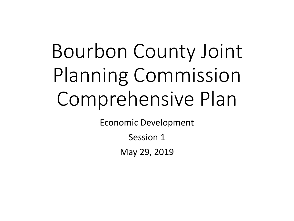# Bourbon County Joint Planning Commission Comprehensive Plan

Economic Development

Session 1

May 29, 2019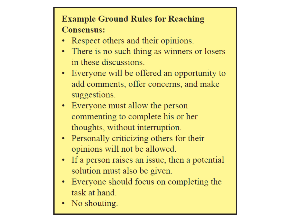## **Example Ground Rules for Reaching Consensus:**

- Respect others and their opinions.
- There is no such thing as winners or losers in these discussions.
- Everyone will be offered an opportunity to add comments, offer concerns, and make suggestions.
- Everyone must allow the person commenting to complete his or her thoughts, without interruption.
- Personally criticizing others for their opinions will not be allowed.
- If a person raises an issue, then a potential solution must also be given.
- Everyone should focus on completing the task at hand.
- No shouting.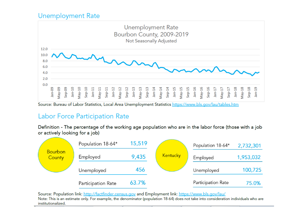#### **Unemployment Rate**



Source: Bureau of Labor Statistics, Local Area Unemployment Statistics https://www.bls.gov/lau/tables.htm

#### Labor Force Participation Rate

Definition - The percentage of the working age population who are in the labor force (those with a job or actively looking for a job)

|                                 | Population 18-64*  | 15,519 |                 | Population 18-64*  | 2,732,301 |
|---------------------------------|--------------------|--------|-----------------|--------------------|-----------|
| <b>Bourbon</b><br><b>County</b> | Employed           | 9,435  | <b>Kentucky</b> | Employed           | 1,953,032 |
|                                 | Unemployed         | 456    |                 | Unemployed         | 100,725   |
|                                 | Participation Rate | 63.7%  |                 | Participation Rate | 75.0%     |

Source: Population link: http://factfinder.census.gov and Employment link: https://www.bls.gov/lau/ Note: This is an estimate only. For example, the denominator (population 18-64) does not take into consideration individuals who are institutionalized.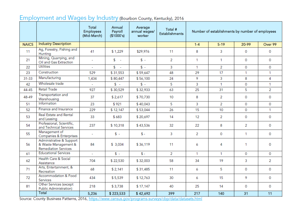### Employment and Wages by Industry (Bourbon County, Kentucky), 2016

|              |                                                                                 | Total<br><b>Employees</b><br>(Mid-March) | Annual<br>Payroll<br>(\$1000's) | Average<br>annual wages/<br>worker | Total #<br><b>Establishments</b> |              | Number of establishments by number of employees |              |                |
|--------------|---------------------------------------------------------------------------------|------------------------------------------|---------------------------------|------------------------------------|----------------------------------|--------------|-------------------------------------------------|--------------|----------------|
| <b>NAICS</b> | <b>Industry Description</b>                                                     |                                          |                                 |                                    |                                  | $1 - 4$      | $5 - 19$                                        | 20-99        | Over 99        |
| 11           | Ag, Forestry, Fishing and<br>Hunting                                            | 41                                       | \$1,229                         | \$29,976                           | 11                               | 8            | 3                                               | 0            | 0              |
| 21           | Mining, Quarrying, and<br>Oil and Gas Extraction                                | L.                                       | $s -$                           | $S -$                              | $\overline{2}$                   | $\mathbf{1}$ | $\mathbf{1}$                                    | 0            | 0              |
| 22           | <b>Utilities</b>                                                                | ÷                                        | $s -$                           | $S -$                              | 3                                | $\mathbf{1}$ | 2                                               | 0            | 0              |
| 23           | Construction                                                                    | 529                                      | \$31,553                        | \$59,647                           | 48                               | 29           | 17                                              | 1            | $\mathbf{1}$   |
| 31-33        | Manufacturing                                                                   | 1,434                                    | \$80,447                        | \$56,100                           | 24                               | 9            | 3                                               | 8            | 4              |
| 42           | Wholesale trade                                                                 | $\mathbb{Z}^2$                           | $S -$                           | $S -$                              | 5                                | 3            | 1                                               | $\Omega$     | 1              |
| 44-45        | <b>Retail Trade</b>                                                             | 927                                      | \$30,529                        | \$32,933                           | 63                               | 25           | 31                                              | 5            | $\overline{2}$ |
| 48-49        | Transportation and<br>Warehousing                                               | 37                                       | \$2,617                         | \$70,730                           | 10                               | 8            | 2                                               | 0            | 0              |
| 51           | Information                                                                     | 23                                       | \$921                           | \$40,043                           | 5                                | 3            | 2                                               | $\Omega$     | 0              |
| 52           | Finance and Insurance                                                           | 229                                      | \$12,147                        | \$53,044                           | 26                               | 15           | 10                                              | 0            | $\mathbf{1}$   |
| 53           | Real Estate and Rental<br>and Leasing                                           | 33                                       | \$683                           | \$20,697                           | 14                               | 12           | 2                                               | 0            | 0              |
| 54           | Professional, Scientific,<br>and Technical Services                             | 237                                      | \$10,318                        | \$43,536                           | 32                               | 22           | 8                                               | 2            | 0              |
| 55           | Management of<br>Companies & Enterprises                                        | ÷                                        | $$ -$                           | $$ -$                              | 3                                | 2            | $\mathbf 0$                                     | $\mathbf{1}$ | 0              |
| 56           | Administrative & Support<br>& Waste Management &<br><b>Remediation Services</b> | 84                                       | \$3,034                         | \$36,119                           | 11                               | 6            | 4                                               | 1            | 0              |
| 61           | <b>Educational Services</b>                                                     | $\sim$                                   | $S -$                           | $$ -$                              | 2                                | $\mathbf{1}$ | $\mathbf{1}$                                    | $\mathbf 0$  | 0              |
| 62           | Health Care & Social<br>Assistance                                              | 704                                      | \$22,530                        | \$32,003                           | 58                               | 34           | 19                                              | 3            | $\overline{2}$ |
| 71           | Arts, Entertainment, &<br>Recreation                                            | 68                                       | \$2,141                         | \$31,485                           | 11                               | 6            | 5                                               | $\Omega$     | 0              |
| 72           | Accommodation & Food<br>Services                                                | 434                                      | \$5,539                         | \$12,763                           | 30                               | 6            | 15                                              | 9            | 0              |
| 81           | Other Services (except<br><b>Public Administration)</b>                         | 218                                      | \$3,738                         | \$17,147                           | 40                               | 25           | 14                                              | 0            | 0              |
|              | Total                                                                           | 5,236                                    | \$223,533                       | \$42,692                           | 399                              | 217          | 140                                             | 31           | 11             |

Source: County Business Patterns, 2016, https://www.census.gov/programs-surveys/cbp/data/datasets.html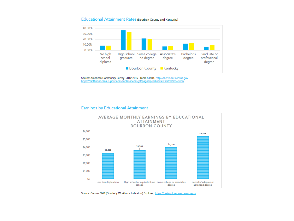#### Educational Attainment Rates (Bourbon County and Kentucky)



Source: American Community Survey, 2012-2017, Table S1501. http://factfinder.census.gov<br>https://factfinder.census.gov/faces/tableservices/jsf/pages/productview.xhtml?src=bkmk

#### **Earnings by Educational Attainment**



Source: Census QWI (Quarterly Workforce Indicators) Explorer, https://awiexplorer.ces.census.gov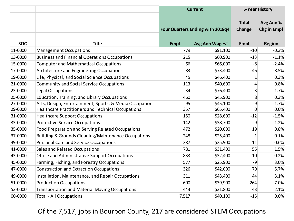|            |                                                          |             | <b>Current</b>                          |                        | <b>5-Year History</b>           |
|------------|----------------------------------------------------------|-------------|-----------------------------------------|------------------------|---------------------------------|
|            |                                                          |             | <b>Four Quarters Ending with 2018q4</b> | <b>Total</b><br>Change | Avg Ann %<br><b>Chg in Empl</b> |
| <b>SOC</b> | <b>Title</b>                                             | <b>Empl</b> | Avg Ann Wages <sup>1</sup>              | <b>Empl</b>            | Region                          |
| 11-0000    | <b>Management Occupations</b>                            | 779         | \$91,100                                | $-10$                  | $-0.3%$                         |
| 13-0000    | <b>Business and Financial Operations Occupations</b>     | 215         | \$60,900                                | $-13$                  | $-1.1%$                         |
| 15-0000    | <b>Computer and Mathematical Occupations</b>             | 66          | \$66,000                                | $-8$                   | $-2.4%$                         |
| 17-0000    | Architecture and Engineering Occupations                 | 83          | \$73,400                                | $-46$                  | $-8.5%$                         |
| 19-0000    | Life, Physical, and Social Science Occupations           | 45          | \$46,400                                | 1                      | 0.3%                            |
| 21-0000    | <b>Community and Social Service Occupations</b>          | 113         | \$40,600                                | 4                      | 0.8%                            |
| 23-0000    | Legal Occupations                                        | 34          | \$76,400                                | 3                      | 1.7%                            |
| 25-0000    | Education, Training, and Library Occupations             | 460         | \$45,900                                | 8                      | 0.3%                            |
| 27-0000    | Arts, Design, Entertainment, Sports, & Media Occupations | 95          | \$45,100                                | $-9$                   | $-1.7%$                         |
| 29-0000    | Healthcare Practitioners and Technical Occupations       | 357         | \$65,400                                | $\mathbf 0$            | 0.0%                            |
| 31-0000    | <b>Healthcare Support Occupations</b>                    | 150         | \$28,600                                | $-12$                  | $-1.5%$                         |
| 33-0000    | <b>Protective Service Occupations</b>                    | 142         | \$38,700                                | $-9$                   | $-1.2%$                         |
| 35-0000    | Food Preparation and Serving Related Occupations         | 472         | \$20,000                                | 19                     | 0.8%                            |
| 37-0000    | Building & Grounds Cleaning/Maintenance Occupations      | 248         | \$25,400                                | $\mathbf{1}$           | 0.1%                            |
| 39-0000    | <b>Personal Care and Service Occupations</b>             | 387         | \$25,900                                | 11                     | 0.6%                            |
| 41-0000    | <b>Sales and Related Occupations</b>                     | 781         | \$31,400                                | 55                     | 1.5%                            |
| 43-0000    | <b>Office and Administrative Support Occupations</b>     | 833         | \$32,400                                | 10                     | 0.2%                            |
| 45-0000    | Farming, Fishing, and Forestry Occupations               | 577         | \$25,900                                | 79                     | 3.0%                            |
| 47-0000    | <b>Construction and Extraction Occupations</b>           | 326         | \$42,000                                | 79                     | 5.7%                            |
| 49-0000    | Installation, Maintenance, and Repair Occupations        | 311         | \$43,400                                | 44                     | 3.1%                            |
| 51-0000    | <b>Production Occupations</b>                            | 600         | \$39,900                                | $-264$                 | $-7.0%$                         |
| 53-0000    | <b>Transportation and Material Moving Occupations</b>    | 443         | \$31,800                                | 43                     | 2.1%                            |
| 00-0000    | <b>Total - All Occupations</b>                           | 7,517       | \$40,100                                | $-15$                  | 0.0%                            |

### Of the 7,517, jobs in Bourbon County, 217 are considered STEM Occupations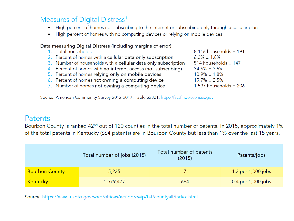### Measures of Digital Distress<sup>1</sup>

- High percent of homes not subscribing to the internet or subscribing only through a cellular plan  $\bullet$
- High percent of homes with no computing devices or relying on mobile devices  $\bullet$

#### Data measuring Digital Distress (including margins of error)

- 1. Total households
- 2. Percent of homes with a cellular data only subscription
- 3. Number of households with a cellular data only subscription
- 4. Percent of homes with no internet access (not subscribing)
- 5. Percent of homes relying only on mobile devices
- 6. Percent of homes not owning a computing device
- 7. Number of homes not owning a computing device

8,116 households  $\pm$  191  $6.3\% \pm 1.8\%$ 514 households  $\pm$  147  $34.6\% \pm 3.5\%$  $10.9\% \pm 1.8\%$  $19.7\% \pm 2.5\%$ 1,597 households  $\pm$  206

Source: American Community Survey 2012-2017, Table S2801; http://factfinder.census.gov

### Patents

Bourbon County is ranked 42<sup>nd</sup> out of 120 counties in the total number of patents. In 2015, approximately 1% of the total patents in Kentucky (664 patents) are in Bourbon County but less than 1% over the last 15 years.

|                       | Total number of jobs (2015) | Total number of patents<br>(2015) | Patents/jobs       |
|-----------------------|-----------------------------|-----------------------------------|--------------------|
| <b>Bourbon County</b> | 5,235                       |                                   | 1.3 per 1,000 jobs |
| Kentucky              | 1,579,477                   | 664                               | 0.4 per 1,000 jobs |

Source: https://www.uspto.gov/web/offices/ac/ido/oeip/taf/countyall/index.html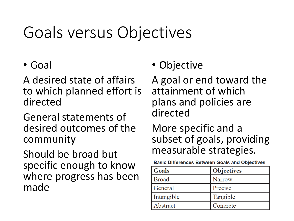# Goals versus Objectives

## • Goal

A desired state of affairs to which planned effort is directed

General statements of desired outcomes of the community

Should be broad but specific enough to know where progress has been made

## • Objective

A goal or end toward the attainment of which plans and policies are directed

More specific and a subset of goals, providing measurable strategies.

**Basic Differences Between Goals and Objectives** 

| Goals        | <b>Objectives</b> |
|--------------|-------------------|
| <b>Broad</b> | <b>Narrow</b>     |
| General      | Precise           |
| Intangible   | Tangible          |
| Abstract     | Concrete          |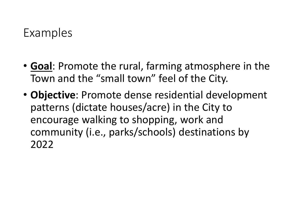# Examples

- **Goal**: Promote the rural, farming atmosphere in the Town and the "small town" feel of the City.
- **Objective**: Promote dense residential development patterns (dictate houses/acre) in the City to encourage walking to shopping, work and community (i.e., parks/schools) destinations by 2022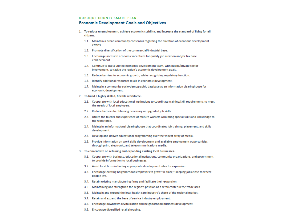#### **DUBUQUE COUNTY SMART PLAN**

#### **Economic Development Goals and Objectives**

- 1. To reduce unemployment, achieve economic stability, and increase the standard of living for all citizens.
	- 1.1. Maintain a broad community consensus regarding the direction of economic development efforts.
	- 1.2. Promote diversification of the commercial/industrial base.
	- 1.3. Encourage access to economic incentives for quality job creation and/or tax base enhancement.
	- 1.4. Continue to use a unified economic development team, with public/private sector involvement, to tackle the region's economic development goals.
	- 1.5. Reduce barriers to economic growth, while recognizing regulatory function.
	- 1.6. Identify additional resources to aid in economic development.
	- 1.7. Maintain a community socio-demographic database as an information clearinghouse for economic development.
- 2. To build a highly skilled, flexible workforce.
	- 2.1. Cooperate with local educational institutions to coordinate training/skill requirements to meet the needs of local employers.
	- 2.2. Reduce barriers to obtaining necessary or upgraded job skills.
	- 2.3. Utilize the talents and experience of mature workers who bring special skills and knowledge to the work force.
	- 2.4. Maintain an informational clearinghouse that coordinates job training, placement, and skills development.
	- 2.5. Develop and deliver educational programming over the widest array of media.
	- 2.6. Provide information on work skills development and available employment opportunities through print, electronic, and telecommunications media.
- 3. To concentrate on retaining and expanding existing local businesses.
	- 3.1. Cooperate with business, educational institutions, community organizations, and government to provide information to local businesses.
	- 3.2. Assist local firms in finding appropriate development sites for expansion.
	- 3.3. Encourage existing neighborhood employers to grow "in place," keeping jobs close to where people live.
	- 3.4. Retain existing manufacturing firms and facilitate their expansion.
	- 3.5. Maintaining and strengthen the region's position as a retail center in the trade area.
	- 3.6. Maintain and expand the local health care industry's share of the regional market.
	- 3.7. Retain and expand the base of service industry employment.
	- 3.8. Encourage downtown revitalization and neighborhood business development.
	- 3.9. Encourage diversified retail shopping.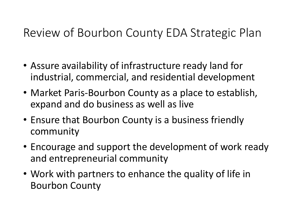# Review of Bourbon County EDA Strategic Plan

- Assure availability of infrastructure ready land for industrial, commercial, and residential development
- Market Paris-Bourbon County as a place to establish, expand and do business as well as live
- Ensure that Bourbon County is a business friendly community
- Encourage and support the development of work ready and entrepreneurial community
- Work with partners to enhance the quality of life in Bourbon County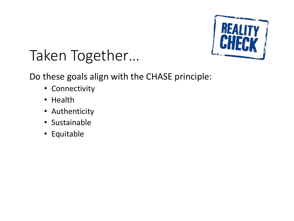

# Taken Together…

Do these goals align with the CHASE principle:

- Connectivity
- Health
- Authenticity
- Sustainable
- Equitable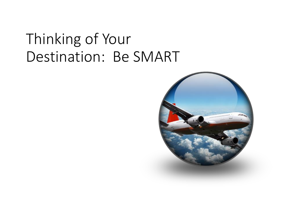# Thinking of Your Destination: Be SMART

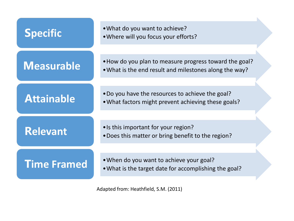| <b>Specific</b>    | . What do you want to achieve?<br>. Where will you focus your efforts?                                           |
|--------------------|------------------------------------------------------------------------------------------------------------------|
| <b>Measurable</b>  | . How do you plan to measure progress toward the goal?<br>• What is the end result and milestones along the way? |
| <b>Attainable</b>  | . Do you have the resources to achieve the goal?<br>. What factors might prevent achieving these goals?          |
| <b>Relevant</b>    | • Is this important for your region?<br>• Does this matter or bring benefit to the region?                       |
| <b>Time Framed</b> | • When do you want to achieve your goal?<br>• What is the target date for accomplishing the goal?                |

 $\mathbf{K}$ 

Adapted from: Heathfield, S.M. (2011)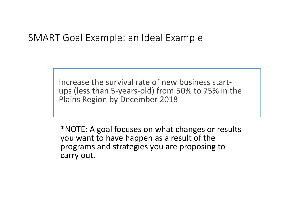### SMART Goal Example: an Ideal Example

Increase the survival rate of new business startups (less than 5-years-old) from 50% to 75% in the Plains Region by December 2018

\*NOTE: A goal focuses on what changes or results you want to have happen as a result of the programs and strategies you are proposing to carry out.